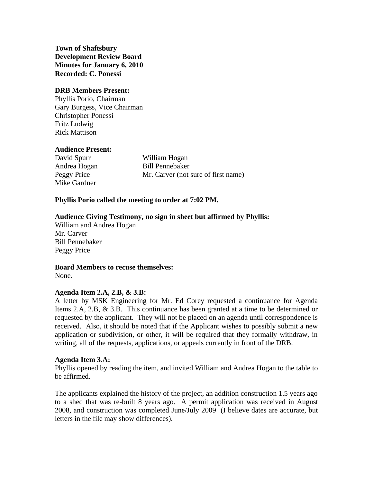**Town of Shaftsbury Development Review Board Minutes for January 6, 2010 Recorded: C. Ponessi**

# **DRB Members Present:**

Phyllis Porio, Chairman Gary Burgess, Vice Chairman Christopher Ponessi Fritz Ludwig Rick Mattison

# **Audience Present:**

David Spurr William Hogan Mike Gardner

Andrea Hogan Bill Pennebaker Peggy Price Mr. Carver (not sure of first name)

# **Phyllis Porio called the meeting to order at 7:02 PM.**

# **Audience Giving Testimony, no sign in sheet but affirmed by Phyllis:**

William and Andrea Hogan Mr. Carver Bill Pennebaker Peggy Price

**Board Members to recuse themselves:** None.

#### **Agenda Item 2.A, 2.B, & 3.B:**

A letter by MSK Engineering for Mr. Ed Corey requested a continuance for Agenda Items 2.A, 2.B, & 3.B. This continuance has been granted at a time to be determined or requested by the applicant. They will not be placed on an agenda until correspondence is received. Also, it should be noted that if the Applicant wishes to possibly submit a new application or subdivision, or other, it will be required that they formally withdraw, in writing, all of the requests, applications, or appeals currently in front of the DRB.

#### **Agenda Item 3.A:**

Phyllis opened by reading the item, and invited William and Andrea Hogan to the table to be affirmed.

The applicants explained the history of the project, an addition construction 1.5 years ago to a shed that was re-built 8 years ago. A permit application was received in August 2008, and construction was completed June/July 2009 (I believe dates are accurate, but letters in the file may show differences).